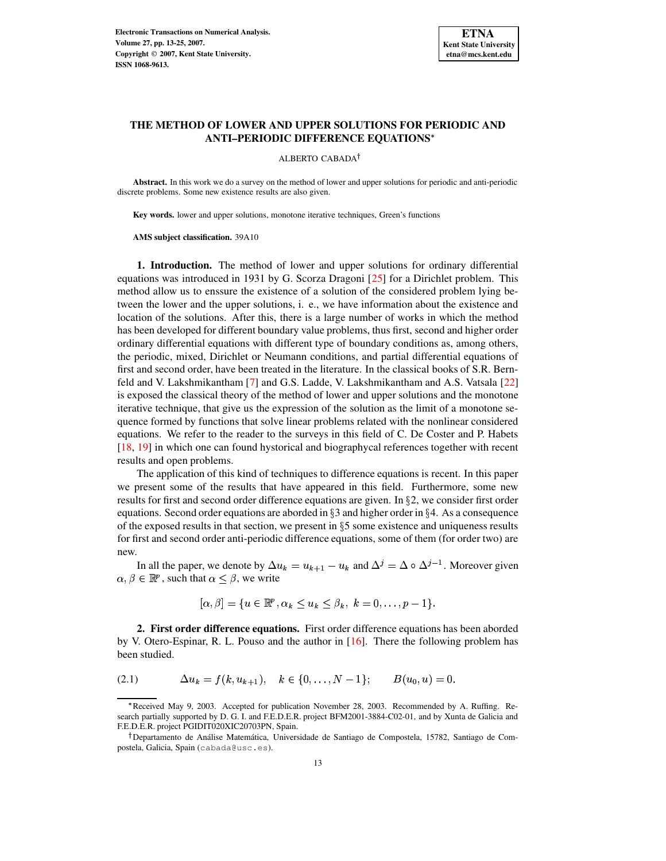

# **THE METHOD OF LOWER AND UPPER SOLUTIONS FOR PERIODIC AND ANTI–PERIODIC DIFFERENCE EQUATIONS**

#### ALBERTO CABADA

**Abstract.** In this work we do a survey on the method of lower and upper solutions for periodic and anti-periodic discrete problems. Some new existence results are also given.

**Key words.** lower and upper solutions, monotone iterative techniques, Green's functions

**AMS subject classification.** 39A10

**1. Introduction.** The method of lower and upper solutions for ordinary differential equations was introduced in 1931 by G. Scorza Dragoni [\[25\]](#page-12-0) for a Dirichlet problem. This method allow us to enssure the existence of a solution of the considered problem lying between the lower and the upper solutions, i. e., we have information about the existence and location of the solutions. After this, there is a large number of works in which the method has been developed for different boundary value problems, thus first, second and higher order ordinary differential equations with different type of boundary conditions as, among others, the periodic, mixed, Dirichlet or Neumann conditions, and partial differential equations of first and second order, have been treated in the literature. In the classical books of S.R. Bernfeld and V. Lakshmikantham [\[7\]](#page-12-1) and G.S. Ladde, V. Lakshmikantham and A.S. Vatsala [\[22\]](#page-12-2) is exposed the classical theory of the method of lower and upper solutions and the monotone iterative technique, that give us the expression of the solution as the limit of a monotone sequence formed by functions that solve linear problems related with the nonlinear considered equations. We refer to the reader to the surveys in this field of C. De Coster and P. Habets [\[18,](#page-12-3) [19\]](#page-12-4) in which one can found hystorical and biographycal references together with recent results and open problems.

The application of this kind of techniques to difference equations is recent. In this paper we present some of the results that have appeared in this field. Furthermore, some new results for first and second order difference equations are given. In  $\S$ 2, we consider first order equations. Second order equations are aborded in  $\S 3$  and higher order in  $\S 4$ . As a consequence of the exposed results in that section, we present in  $\S 5$  some existence and uniqueness results for first and second order anti-periodic difference equations, some of them (for order two) are new.

In all the paper, we denote by  $\Delta u_k = u_{k+1} - u_k$  and  $\Delta^j = \Delta \circ \Delta^{j-1}$ . Moreover given  $\alpha, \beta \in \mathbb{R}^p$ , such that  $\alpha \leq \beta$ , we write

$$
[\alpha,\beta] = \{u \in \mathbb{R}^p, \alpha_k \le u_k \le \beta_k, k = 0,\ldots,p-1\}.
$$

**2. First order difference equations.** First order difference equations has been aborded by V. Otero-Espinar, R. L. Pouso and the author in [\[16\]](#page-12-5). There the following problem has been studied.

<span id="page-0-0"></span>
$$
(2.1) \qquad \Delta u_k = f(k, u_{k+1}), \quad k \in \{0, \ldots, N-1\}; \qquad B(u_0, u) = 0.
$$

<sup>\*</sup>Received May 9, 2003. Accepted for publication November 28, 2003. Recommended by A. Ruffing. Research partially supported by D. G. I. and F.E.D.E.R. project BFM2001-3884-C02-01, and by Xunta de Galicia and F.E.D.E.R. project PGIDIT020XIC20703PN, Spain.

<sup>&</sup>lt;sup>†</sup> Departamento de Análise Matemática, Universidade de Santiago de Compostela, 15782, Santiago de Compostela, Galicia, Spain (cabada@usc.es).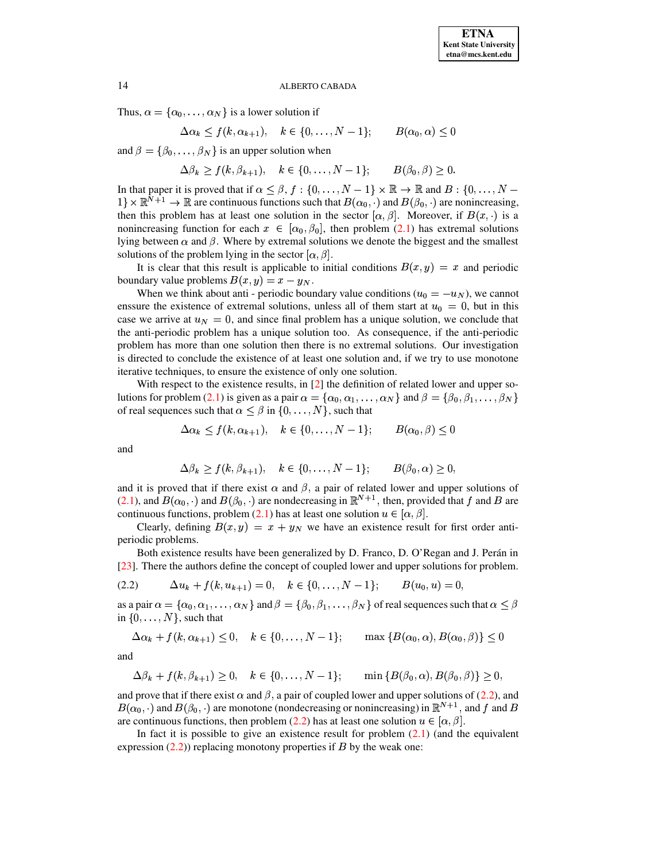Thus,  $\alpha = {\alpha_0, \ldots, \alpha_N}$  is a lower solution if

$$
\Delta \alpha_k \le f(k, \alpha_{k+1}), \quad k \in \{0, \dots, N-1\}; \qquad B(\alpha_0, \alpha) \le 0
$$

and  $\beta = {\beta_0, \ldots, \beta_N}$  is an upper solution when

 $\Delta \beta_k > f(k, \beta_{k+1}), \quad k \in \{0, \ldots, N-1\}; \qquad B(\beta_0, \beta) > 0.$ 

In that paper it is proved that if  $\alpha \leq \beta, f:\{0,\ldots,N-1\} \times \mathbb{R} \to \mathbb{R}$  and  $B:\{0,\ldots,N-1\}$  $1\}\times\mathbb{R}^{\bar{N}+1}\to\mathbb{R}$  are continuous functions such that  $B(\alpha_0,\cdot)$  and  $B(\beta_0,\cdot)$  are nonincreasing, then this problem has at least one solution in the sector  $[\alpha, \beta]$ . Moreover, if  $B(x, \cdot)$  is a nonincreasing function for each  $x \in [\alpha_0, \beta_0]$ , then problem [\(2.1\)](#page-0-0) has extremal solutions lying between  $\alpha$  and  $\beta$ . Where by extremal solutions we denote the biggest and the smallest solutions of the problem lying in the sector  $[\alpha, \beta]$ .

It is clear that this result is applicable to initial conditions  $B(x, y) = x$  and periodic boundary value problems  $B(x, y) = x - y_N$ .

When we think about anti-periodic boundary value conditions  $(u_0 = -u_N)$ , we cannot enssure the existence of extremal solutions, unless all of them start at  $u_0 = 0$ , but in this case we arrive at  $u_N = 0$ , and since final problem has a unique solution, we conclude that the anti-periodic problem has a unique solution too. As consequence, if the anti-periodic problem has more than one solution then there is no extremal solutions. Our investigation is directed to conclude the existence of at least one solution and, if we try to use monotone iterative techniques, to ensure the existence of only one solution.

With respect to the existence results, in [\[2\]](#page-12-6) the definition of related lower and upper so-lutions for problem [\(2.1\)](#page-0-0) is given as a pair  $\alpha = {\alpha_0, \alpha_1, \ldots, \alpha_N}$  and  $\beta = {\beta_0, \beta_1, \ldots, \beta_N}$ and the state of the state of the state of the state of the state of the state of the state of the state of the of real sequences such that  $\alpha \leq \beta$  in  $\{0,\ldots,N\}$ , such that

$$
\Delta \alpha_k \le f(k, \alpha_{k+1}), \quad k \in \{0, \dots, N-1\}; \qquad B(\alpha_0, \beta) \le 0
$$

and

$$
\Delta \beta_k \ge f(k, \beta_{k+1}), \quad k \in \{0, \ldots, N-1\}; \qquad B(\beta_0, \alpha) \ge 0,
$$

and it is proved that if there exist  $\alpha$  and  $\beta$ , a pair of related lower and upper solutions of  $(2.1)$ , and  $B(\alpha_0, \cdot)$  and  $B(\beta_0, \cdot)$  are nondecreasing in  $\mathbb{R}^{N+1}$ , then, provided that f and B are continuous functions, problem [\(2.1\)](#page-0-0) has at least one solution  $u \in [\alpha, \beta]$ .

Clearly, defining  $B(x, y) = x + y_N$  we have an existence result for first order antiperiodic problems.

Both existence results have been generalized by D. Franco, D. O'Regan and J. Perán in [\[23\]](#page-12-7). There the authors define the concept of coupled lower and upper solutions for problem.

<span id="page-1-0"></span>
$$
(2.2) \qquad \Delta u_k + f(k, u_{k+1}) = 0, \quad k \in \{0, \ldots, N-1\}; \qquad B(u_0, u) = 0,
$$

as a pair  $\alpha = \{\alpha_0, \alpha_1, \dots, \alpha_N\}$  and  $\beta = \{\beta_0, \beta_1, \dots, \beta_N\}$  of real sequences such that  $\alpha \leq \beta$ in  $\{0,\ldots,N\}$ , such that

$$
\Delta \alpha_k + f(k, \alpha_{k+1}) \le 0, \quad k \in \{0, \dots, N-1\}; \qquad \max\left\{B(\alpha_0, \alpha), B(\alpha_0, \beta)\right\} \le 0
$$

and

$$
\Delta \beta_k + f(k, \beta_{k+1}) \ge 0, \quad k \in \{0, \ldots, N-1\}; \qquad \min\left\{B(\beta_0, \alpha), B(\beta_0, \beta)\right\} \ge 0,
$$

and prove that if there exist  $\alpha$  and  $\beta$ , a pair of coupled lower and upper solutions of [\(2.2\)](#page-1-0), and  $B(\alpha_0, \cdot)$  and  $B(\beta_0, \cdot)$  are monotone (nondecreasing or nonincreasing) in  $\mathbb{R}^{N+1}$ , and f and B are continuous functions, then problem [\(2.2\)](#page-1-0) has at least one solution  $u \in [\alpha, \beta]$ .

In fact it is possible to give an existence result for problem  $(2.1)$  (and the equivalent expression  $(2.2)$ ) replacing monotony properties if B by the weak one: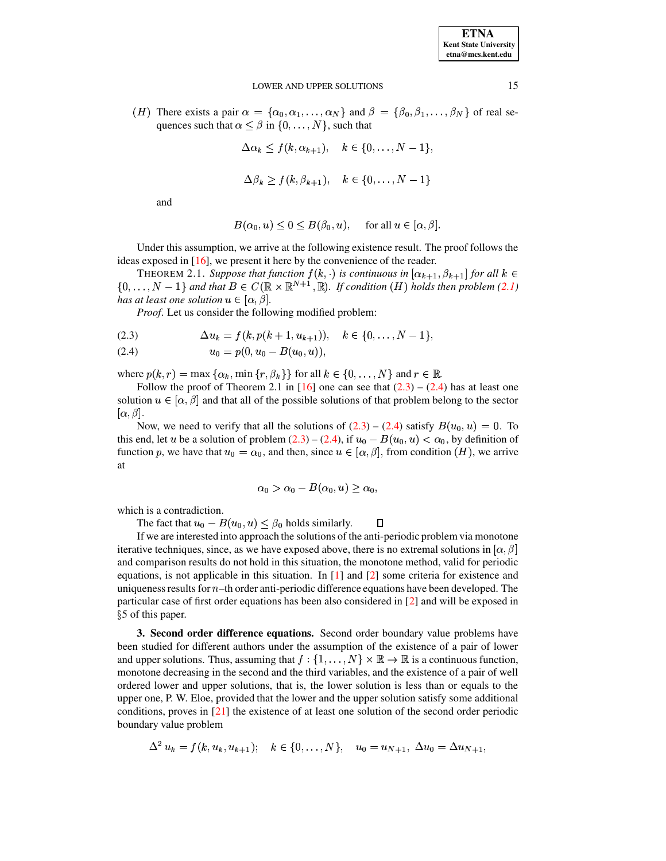(*H*) There exists a pair  $\alpha = {\alpha_0, \alpha_1, \ldots, \alpha_N}$  and  $\beta = {\beta_0, \beta_1, \ldots, \beta_N}$  of real sequences such that  $\alpha \leq \beta$  in  $\{0, \ldots, N\}$ , such that

$$
\Delta \alpha_k \leq f(k, \alpha_{k+1}), \quad k \in \{0, \ldots, N-1\},\
$$

 $\Delta B_k \geq 1(k, B_{k+1}), \quad k \in \{0, \ldots, N-1\}$ 

and

$$
B(\alpha_0, u) \le 0 \le B(\beta_0, u), \quad \text{ for all } u \in [\alpha, \beta].
$$

Under this assumption, we arrive at the following existence result. The proof follows the ideas exposed in [\[16\]](#page-12-5), we present it here by the convenience of the reader.

THEOREM 2.1. Suppose that function  $f(k, \cdot)$  is continuous in  $[\alpha_{k+1}, \beta_{k+1}]$  for all  $k \in$  $\{0,\ldots,N-1\}$  and that  $B \in C(\mathbb{R} \times \mathbb{R}^{N+1}, \mathbb{R})$ . If condition  $(H)$  holds then problem [\(2.1\)](#page-0-0) *has at least one solution*  $u \in [\alpha, \beta]$ .

*Proof*. Let us consider the following modified problem:

<span id="page-2-0"></span>
$$
(2.3) \qquad \Delta u_k = f(k, p(k+1, u_{k+1})), \quad k \in \{0, \ldots, N-1\},
$$

$$
(2.4) \t\t u_0 = p(0, u_0 - B(u_0, u)),
$$

where  $p(k, r) = \max{\{\alpha_k, \min{\{r, \beta_k\}\}\}\}$  for all  $k \in \{0, \ldots, N\}$  and  $r \in \mathbb{R}$ .

Follow the proof of Theorem 2.1 in [\[16\]](#page-12-5) one can see that  $(2.3) - (2.4)$  $(2.3) - (2.4)$  $(2.3) - (2.4)$  has at least one solution  $u \in [\alpha, \beta]$  and that all of the possible solutions of that problem belong to the sector  $[\alpha, \beta].$ 

Now, we need to verify that all the solutions of  $(2.3) - (2.4)$  $(2.3) - (2.4)$  $(2.3) - (2.4)$  satisfy  $B(u_0, u) = 0$ . To this end, let u be a solution of problem [\(2.3\)](#page-2-0) – [\(2.4\)](#page-2-0), if  $u_0 - B(u_0, u) < \alpha_0$ , by definition of function p, we have that  $u_0 = \alpha_0$ , and then, since  $u \in [\alpha, \beta]$ , from condition  $(H)$ , we arrive at

$$
\alpha_0 > \alpha_0 - B(\alpha_0, u) \ge \alpha_0,
$$

which is a contradiction.

The fact that  $u_0 - B(u_0, u) \leq \beta_0$  holds similarly.  $\Box$ 

If we are interested into approach the solutions of the anti-periodic problem via monotone iterative techniques, since, as we have exposed above, there is no extremal solutions in  $[\alpha, \beta]$ and comparison results do not hold in this situation, the monotone method, valid for periodic equations, is not applicable in this situation. In [\[1\]](#page-12-8) and [\[2\]](#page-12-6) some criteria for existence and uniqueness results for  $n$ -th order anti-periodic difference equations have been developed. The particular case of first order equations has been also considered in [\[2\]](#page-12-6) and will be exposed in - 5 of this paper.

**3. Second order difference equations.** Second order boundary value problems have been studied for different authors under the assumption of the existence of a pair of lower and upper solutions. Thus, assuming that  $f:\{1,\ldots,N\}\times\mathbb{R}\to\mathbb{R}$  is a continuous function, monotone decreasing in the second and the third variables, and the existence of a pair of well ordered lower and upper solutions, that is, the lower solution is less than or equals to the upper one, P. W. Eloe, provided that the lower and the upper solution satisfy some additional conditions, proves in [\[21\]](#page-12-9) the existence of at least one solution of the second order periodic boundary value problem

$$
\Delta^2 u_k = f(k, u_k, u_{k+1}); \quad k \in \{0, \dots, N\}, \quad u_0 = u_{N+1}, \ \Delta u_0 = \Delta u_{N+1},
$$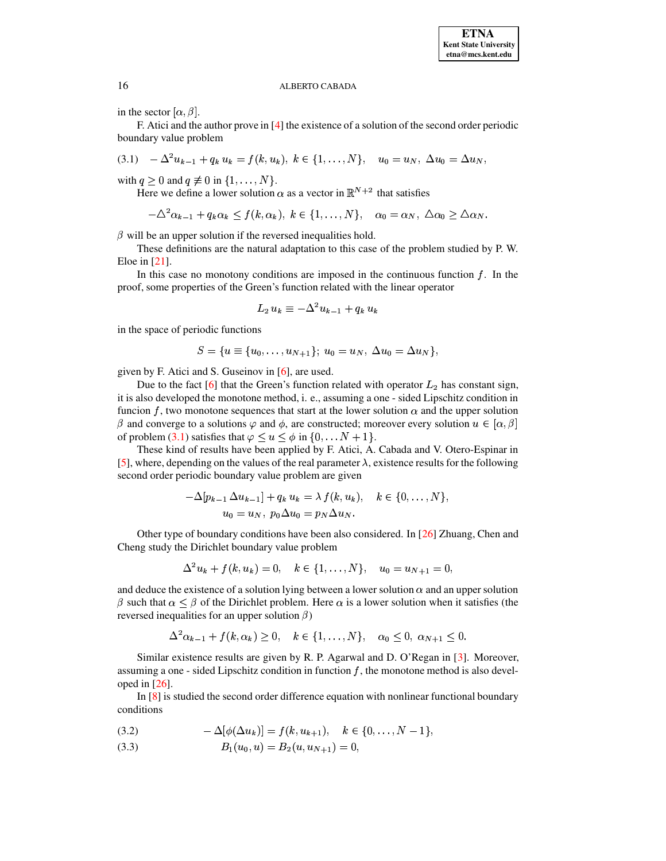in the sector  $[\alpha, \beta]$ .

F. Atici and the author prove in [\[4\]](#page-12-10) the existence of a solution of the second order periodic boundary value problem

<span id="page-3-0"></span>
$$
(3.1) \quad -\Delta^2 u_{k-1} + q_k u_k = f(k, u_k), \ k \in \{1, \ldots, N\}, \quad u_0 = u_N, \ \Delta u_0 = \Delta u_N,
$$

with  $q \geq 0$  and  $q \not\equiv 0$  in  $\{1, \ldots, N\}$ .

Here we define a lower solution  $\alpha$  as a vector in  $\mathbb{R}^{N+2}$  that satisfies

 $-\Delta^2\alpha_{k-1} + q_k\alpha_k \leq f(k,\alpha_k), \; k \in \{1,\ldots,N\}, \quad \alpha_0 = \alpha_N, \; \Delta\alpha_0 \geq \Delta\alpha_N.$ 

 $\beta$  will be an upper solution if the reversed inequalities hold.

These definitions are the natural adaptation to this case of the problem studied by P. W. Eloe in [\[21\]](#page-12-9).

In this case no monotony conditions are imposed in the continuous function  $f$ . In the proof, some properties of the Green's function related with the linear operator

$$
L_2\,u_k\equiv -\Delta^2 u_{k-1}+q_k\,u_k
$$

in the space of periodic functions

$$
S=\{u\equiv \{u_0,\ldots,u_{N+1}\}; \ u_0=u_N, \ \Delta u_0=\Delta u_N\},
$$

given by F. Atici and S. Guseinov in [\[6\]](#page-12-11), are used.

Due to the fact [\[6\]](#page-12-11) that the Green's function related with operator  $L_2$  has constant sign, it is also developed the monotone method, i. e., assuming a one - sided Lipschitz condition in funcion f, two monotone sequences that start at the lower solution  $\alpha$  and the upper solution  $\beta$  and converge to a solutions  $\varphi$  and  $\phi$ , are constructed; moreover every solution  $u \in [\alpha, \beta]$ of problem [\(3.1\)](#page-3-0) satisfies that  $\varphi \leq u \leq \phi$  in  $\{0, \ldots N + 1\}$ .

These kind of results have been applied by F. Atici, A. Cabada and V. Otero-Espinar in [\[5\]](#page-12-12), where, depending on the values of the real parameter  $\lambda$ , existence results for the following second order periodic boundary value problem are given

$$
-\Delta[p_{k-1}\Delta u_{k-1}] + q_k u_k = \lambda f(k, u_k), \quad k \in \{0, \ldots, N\},
$$
  

$$
u_0 = u_N, p_0 \Delta u_0 = p_N \Delta u_N.
$$

Other type of boundary conditions have been also considered. In [\[26\]](#page-12-13) Zhuang, Chen and Cheng study the Dirichlet boundary value problem

$$
\Delta^2 u_k + f(k, u_k) = 0, \quad k \in \{1, \dots, N\}, \quad u_0 = u_{N+1} = 0,
$$

and deduce the existence of a solution lying between a lower solution  $\alpha$  and an upper solution  $\beta$  such that  $\alpha \leq \beta$  of the Dirichlet problem. Here  $\alpha$  is a lower solution when it satisfies (the reversed inequalities for an upper solution  $\beta$ )

$$
\Delta^2 \alpha_{k-1} + f(k, \alpha_k) \ge 0, \quad k \in \{1, ..., N\}, \quad \alpha_0 \le 0, \ \alpha_{N+1} \le 0.
$$

Similar existence results are given by R. P. Agarwal and D. O'Regan in [\[3\]](#page-12-14). Moreover, assuming a one - sided Lipschitz condition in function  $f$ , the monotone method is also developed in  $[26]$ .

In [\[8\]](#page-12-15) is studied the second order difference equation with nonlinear functional boundary conditions

<span id="page-3-1"></span>(3.2) 
$$
-\Delta[\phi(\Delta u_k)] = f(k, u_{k+1}), \quad k \in \{0, ..., N-1\},
$$

$$
(3.3) \t B1(u0, u) = B2(u, uN+1) = 0,
$$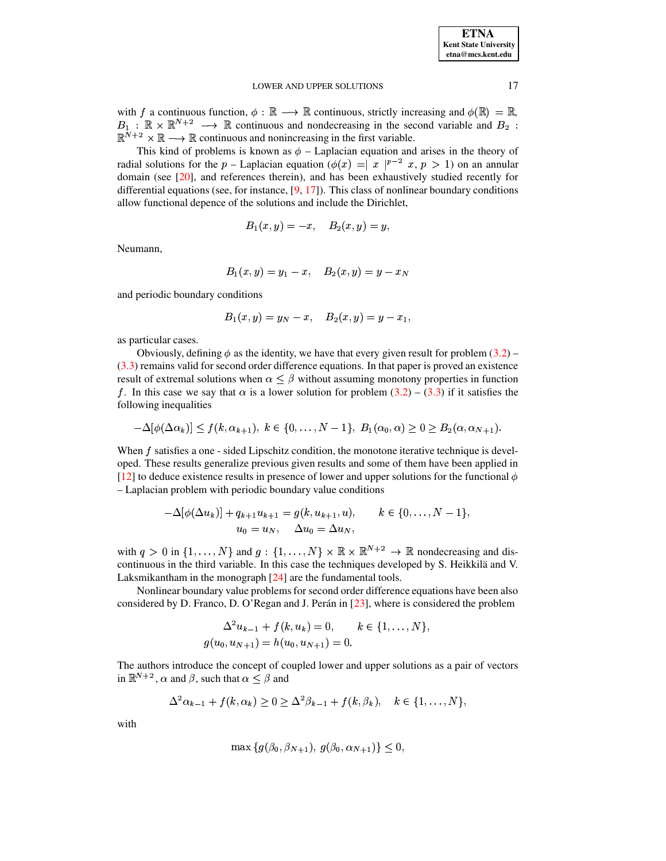| <b>ETNA</b>                  |
|------------------------------|
| <b>Kent State University</b> |
| etna@mcs.kent.edu            |

with f a continuous function,  $\phi : \mathbb{R} \longrightarrow \mathbb{R}$  continuous, strictly increasing and  $\phi(\mathbb{R}) = \mathbb{R}$ ,  $B_1 : \mathbb{R} \times \mathbb{R}^{N+2} \longrightarrow \mathbb{R}$  continuous and nondecreasing in the second variable and  $B_2$ :  $\mathbb{R}^{N+2} \times \mathbb{R} \longrightarrow \mathbb{R}$  continuous and nonincreasing in the first variable.

This kind of problems is known as  $\phi$  – Laplacian equation and arises in the theory of radial solutions for the p – Laplacian equation ( $\phi(x) = |x|^{p-2}$  x, p > 1) on an annular domain (see [\[20\]](#page-12-16), and references therein), and has been exhaustively studied recently for differential equations (see, for instance,  $[9, 17]$  $[9, 17]$  $[9, 17]$ ). This class of nonlinear boundary conditions allow functional depence of the solutions and include the Dirichlet,

$$
B_1(x,y)=-x,\quad B_2(x,y)=y,
$$

Neumann,

$$
B_1(x,y)=y_1-x,\quad B_2(x,y)=y-x_N
$$

and periodic boundary conditions

$$
B_1(x,y)=y_N-x,\quad B_2(x,y)=y-x_1,
$$

as particular cases.

Obviously, defining  $\phi$  as the identity, we have that every given result for problem [\(3.2\)](#page-3-1) – [\(3.3\)](#page-3-1) remains valid for second order difference equations. In that paper is proved an existence result of extremal solutions when  $\alpha \leq \beta$  without assuming monotony properties in function f. In this case we say that  $\alpha$  is a lower solution for problem [\(3.2\)](#page-3-1) – [\(3.3\)](#page-3-1) if it satisfies the following inequalities

$$
-\Delta[\phi(\Delta\alpha_k)] \le f(k,\alpha_{k+1}), \ k \in \{0,\ldots,N-1\}, \ B_1(\alpha_0,\alpha) \ge 0 \ge B_2(\alpha,\alpha_{N+1}).
$$

When  $f$  satisfies a one - sided Lipschitz condition, the monotone iterative technique is developed. These results generalize previous given results and some of them have been applied in [\[12\]](#page-12-19) to deduce existence results in presence of lower and upper solutions for the functional  $\phi$ – Laplacian problem with periodic boundary value conditions

$$
-\Delta[\phi(\Delta u_k)] + q_{k+1}u_{k+1} = g(k, u_{k+1}, u), \qquad k \in \{0, ..., N-1\},
$$
  

$$
u_0 = u_N, \quad \Delta u_0 = \Delta u_N,
$$

with  $q > 0$  in  $\{1, \ldots, N\}$  and  $g: \{1, \ldots, N\} \times \mathbb{R} \times \mathbb{R}^{N+2} \to \mathbb{R}$  nondecreasing and discontinuous in the third variable. In this case the techniques developed by S. Heikkilä and V. Laksmikantham in the monograph [\[24\]](#page-12-20) are the fundamental tools.

Nonlinear boundary value problemsfor second order difference equations have been also considered by D. Franco, D. O'Regan and J. Perán in [\[23\]](#page-12-7), where is considered the problem

$$
\Delta^2 u_{k-1} + f(k, u_k) = 0, \qquad k \in \{1, \dots, N\},
$$
  

$$
g(u_0, u_{N+1}) = h(u_0, u_{N+1}) = 0.
$$

The authors introduce the concept of coupled lower and upper solutions as a pair of vectors in  $\mathbb{R}^{N+2}$ ,  $\alpha$  and  $\beta$ , such that  $\alpha \leq \beta$  and

$$
\Delta^2 \alpha_{k-1} + f(k, \alpha_k) \geq 0 \geq \Delta^2 \beta_{k-1} + f(k, \beta_k), \quad k \in \{1, \ldots, N\},\
$$

with

$$
\max\{g(\beta_0, \beta_{N+1}), g(\beta_0, \alpha_{N+1})\} \le 0,
$$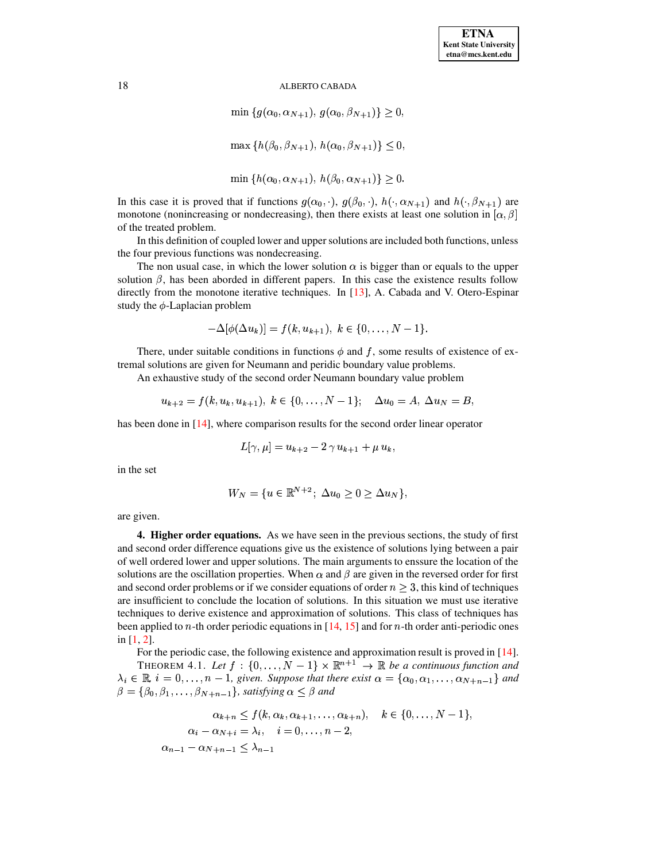$$
\min \{ g(\alpha_0, \alpha_{N+1}), g(\alpha_0, \beta_{N+1}) \} \ge 0,
$$
  

$$
\max \{ h(\beta_0, \beta_{N+1}), h(\alpha_0, \beta_{N+1}) \} \le 0,
$$
  

$$
\min \{ h(\alpha_0, \alpha_{N+1}), h(\beta_0, \alpha_{N+1}) \} \ge 0.
$$

In this case it is proved that if functions  $g(\alpha_0, \cdot), g(\beta_0, \cdot), h(\cdot, \alpha_{N+1})$  and  $h(\cdot, \beta_{N+1})$  are monotone (nonincreasing or nondecreasing), then there exists at least one solution in  $[\alpha, \beta]$ of the treated problem.

In this definition of coupled lower and uppersolutions are included both functions, unless the four previous functions was nondecreasing.

The non usual case, in which the lower solution  $\alpha$  is bigger than or equals to the upper solution  $\beta$ , has been aborded in different papers. In this case the existence results follow directly from the monotone iterative techniques. In [\[13\]](#page-12-21), A. Cabada and V. Otero-Espinar study the  $\phi$ -Laplacian problem

$$
-\Delta[\phi(\Delta u_k)] = f(k, u_{k+1}), \ k \in \{0, \dots, N-1\}.
$$

There, under suitable conditions in functions  $\phi$  and f, some results of existence of extremal solutions are given for Neumann and peridic boundary value problems.

An exhaustive study of the second order Neumann boundary value problem

$$
u_{k+2}=f(k,u_k,u_{k+1}),\;k\in\{0,\ldots,N-1\};\quad \Delta u_0=A,\;\Delta u_N=B,
$$

has been done in [\[14\]](#page-12-22), where comparison results for the second order linear operator

$$
L[\gamma,\mu]=u_{k+2}-2\,\gamma\,u_{k+1}+\mu\,u_k,
$$

in the set

$$
W_N = \{ u \in \mathbb{R}^{N+2}; \ \Delta u_0 \ge 0 \ge \Delta u_N \},
$$

are given.

**4. Higher order equations.** As we have seen in the previous sections, the study of first and second order difference equations give us the existence of solutions lying between a pair of well ordered lower and upper solutions. The main arguments to enssure the location of the solutions are the oscillation properties. When  $\alpha$  and  $\beta$  are given in the reversed order for first and second order problems or if we consider equations of order  $n \geq 3$ , this kind of techniques are insufficient to conclude the location of solutions. In this situation we must use iterative techniques to derive existence and approximation of solutions. This class of techniques has been applied to  $n$ -th order periodic equations in [\[14,](#page-12-22) [15\]](#page-12-23) and for  $n$ -th order anti-periodic ones in [\[1,](#page-12-8) [2\]](#page-12-6).

<span id="page-5-0"></span>For the periodic case, the following existence and approximation result is proved in [\[14\]](#page-12-22). THEOREM 4.1. Let  $f : \{0, \ldots, N-1\} \times \mathbb{R}^{n+1} \rightarrow \mathbb{R}$  be a continuous function and  $\lambda_i \in \mathbb{R}$ ,  $i = 0, \ldots, n-1$ , given. Suppose that there exist  $\alpha = {\alpha_0, \alpha_1, \ldots, \alpha_{N+n-1}}$  and  $\beta = {\beta_0, \beta_1, \ldots, \beta_{N+n-1}}$ , satisfying  $\alpha \leq \beta$  and

$$
\alpha_{k+n} \le f(k, \alpha_k, \alpha_{k+1}, \dots, \alpha_{k+n}), \quad k \in \{0, \dots, N-1\},
$$
  
\n
$$
\alpha_i - \alpha_{N+i} = \lambda_i, \quad i = 0, \dots, n-2,
$$
  
\n
$$
\alpha_{n-1} - \alpha_{N+n-1} \le \lambda_{n-1}
$$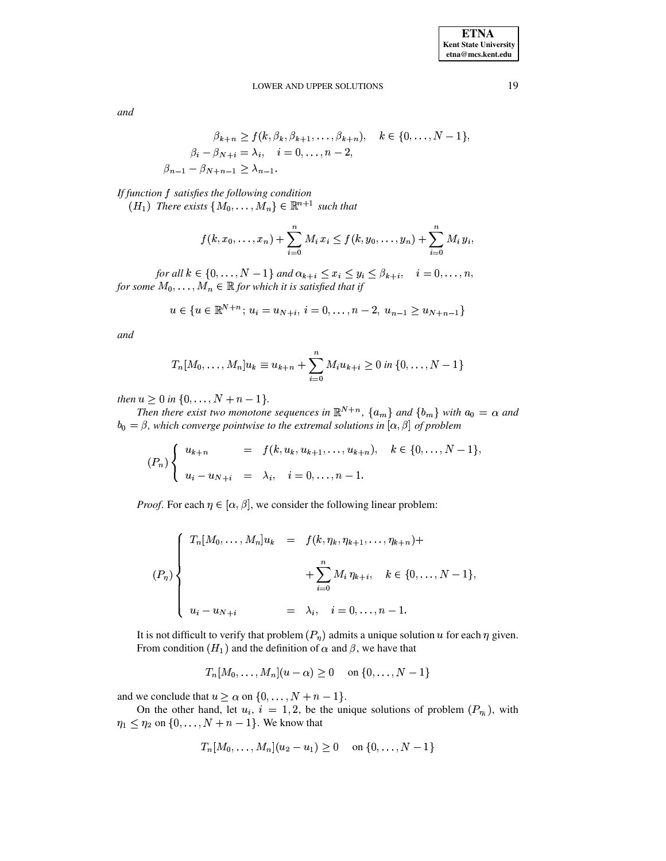and

$$
\beta_{k+n} \ge f(k, \beta_k, \beta_{k+1}, \dots, \beta_{k+n}), \quad k \in \{0, \dots, N-1\},
$$
  

$$
\beta_i - \beta_{N+i} = \lambda_i, \quad i = 0, \dots, n-2,
$$
  

$$
\beta_{n-1} - \beta_{N+n-1} \ge \lambda_{n-1}.
$$

 $\mathcal{L}$ 

If function f satisfies the following condition  $(H_1)$  There exists  $\{M_0, \ldots, M_n\} \in \mathbb{R}^{n+1}$  such that

$$
f(k, x_0, \ldots, x_n) + \sum_{i=0}^n M_i x_i \le f(k, y_0, \ldots, y_n) + \sum_{i=0}^n M_i y_i,
$$

for all  $k \in \{0, ..., N-1\}$  and  $\alpha_{k+i} \leq x_i \leq y_i \leq \beta_{k+i}, \quad i = 0, ..., n$ , for some  $M_0, \ldots, M_n \in \mathbb{R}$  for which it is satisfied that if

$$
u \in \{u \in \mathbb{R}^{N+n}; u_i = u_{N+i}, i = 0, \dots, n-2, u_{n-1} \ge u_{N+n-1}\}
$$

and

$$
T_n[M_0,\ldots,M_n]u_k \equiv u_{k+n} + \sum_{i=0}^n M_i u_{k+i} \ge 0 \text{ in } \{0,\ldots,N-1\}
$$

then  $u \ge 0$  in  $\{0, \ldots, N+n-1\}$ .

Then there exist two monotone sequences in  $\mathbb{R}^{N+n}$ ,  $\{a_m\}$  and  $\{b_m\}$  with  $a_0 = \alpha$  and  $b_0 = \beta$ , which converge pointwise to the extremal solutions in  $[\alpha, \beta]$  of problem

$$
(P_n)\begin{cases}u_{k+n} = f(k, u_k, u_{k+1}, \dots, u_{k+n}), & k \in \{0, \dots, N-1\},\\u_i - u_{N+i} = \lambda_i, & i = 0, \dots, n-1.\end{cases}
$$

*Proof.* For each  $\eta \in [\alpha, \beta]$ , we consider the following linear problem:

$$
(P_{\eta})\left\{\n\begin{array}{lll}\nT_n[M_0, \ldots, M_n]u_k & = & f(k, \eta_k, \eta_{k+1}, \ldots, \eta_{k+n}) + \\
& & + \sum_{i=0}^n M_i \eta_{k+i}, \quad k \in \{0, \ldots, N-1\}, \\
u_i - u_{N+i} & = & \lambda_i, \quad i = 0, \ldots, n-1.\n\end{array}\n\right.
$$

It is not difficult to verify that problem  $(P_n)$  admits a unique solution u for each  $\eta$  given. From condition  $(H_1)$  and the definition of  $\alpha$  and  $\beta$ , we have that

$$
T_n[M_0, ..., M_n](u - \alpha) \ge 0
$$
 on  $\{0, ..., N-1\}$ 

and we conclude that  $u \ge \alpha$  on  $\{0, \ldots, N + n - 1\}$ .

On the other hand, let  $u_i$ ,  $i = 1, 2$ , be the unique solutions of problem  $(P_{\eta_i})$ , with  $\eta_1 \leq \eta_2$  on  $\{0, \ldots, N+n-1\}$ . We know that

$$
T_n[M_0,\ldots,M_n](u_2-u_1)\geq 0
$$
 on  $\{0,\ldots,N-1\}$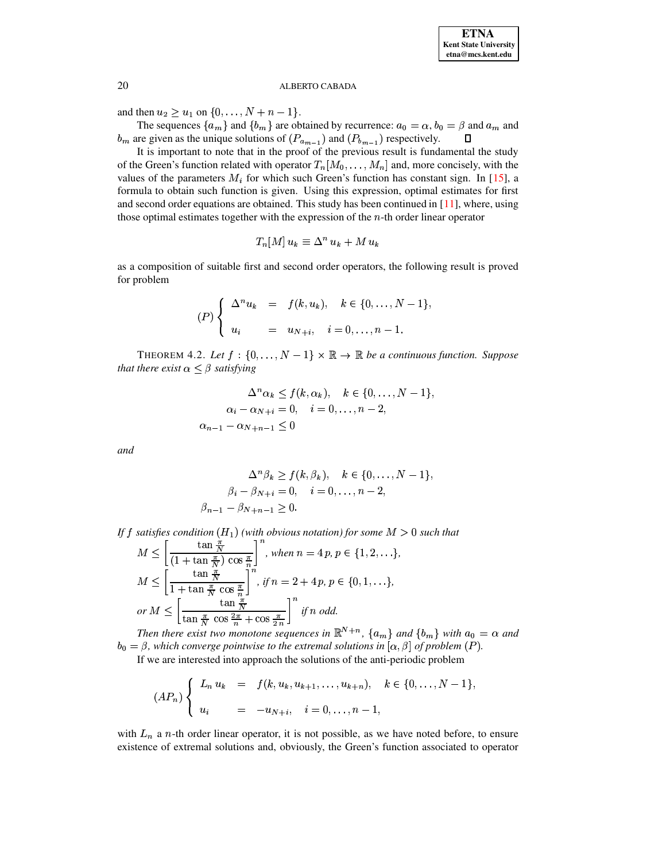and then  $u_2 \ge u_1$  on  $\{0, ..., N + n - 1\}$ .

The sequences  $\{a_m\}$  and  $\{b_m\}$  are obtained by recurrence:  $a_0 = \alpha$ ,  $b_0 = \beta$  and  $a_m$  and  $b_m$  are given as the unique solutions of  $(P_{a_{m-1}})$  and  $(P_{b_{m-1}})$  respectively.  $\Box$ 

It is important to note that in the proof of the previous result is fundamental the study of the Green's function related with operator  $T_n[M_0,\ldots,M_n]$  and, more concisely, with the values of the parameters  $M_i$  for which such Green's function has constant sign. In [15], a formula to obtain such function is given. Using this expression, optimal estimates for first and second order equations are obtained. This study has been continued in  $[11]$ , where, using those optimal estimates together with the expression of the  $n$ -th order linear operator

$$
T_n[M]u_k \equiv \Delta^n u_k + M u_k
$$

as a composition of suitable first and second order operators, the following result is proved for problem

$$
(P)\begin{cases} \Delta^n u_k = f(k, u_k), & k \in \{0, \ldots, N-1\}, \\ u_i = u_{N+i}, & i = 0, \ldots, n-1. \end{cases}
$$

THEOREM 4.2. Let  $f : \{0, \ldots, N-1\} \times \mathbb{R} \to \mathbb{R}$  be a continuous function. Suppose that there exist  $\alpha \leq \beta$  satisfying

$$
\Delta^n \alpha_k \le f(k, \alpha_k), \quad k \in \{0, \dots, N-1\},
$$
  
\n
$$
\alpha_i - \alpha_{N+i} = 0, \quad i = 0, \dots, n-2,
$$
  
\n
$$
\alpha_{n-1} - \alpha_{N+n-1} \le 0
$$

and

$$
\Delta^n \beta_k \ge f(k, \beta_k), \quad k \in \{0, \dots, N-1\},
$$
  

$$
\beta_i - \beta_{N+i} = 0, \quad i = 0, \dots, n-2,
$$
  

$$
\beta_{n-1} - \beta_{N+n-1} \ge 0.
$$

If f satisfies condition  $(H_1)$  (with obvious notation) for some  $M > 0$  such that

$$
M \leq \left[ \frac{\tan \frac{\pi}{N}}{(1 + \tan \frac{\pi}{N}) \cos \frac{\pi}{n}} \right]^n, when n = 4p, p \in \{1, 2, \ldots\},
$$
  

$$
M \leq \left[ \frac{\tan \frac{\pi}{N}}{1 + \tan \frac{\pi}{N} \cos \frac{\pi}{n}} \right]^n, if n = 2 + 4p, p \in \{0, 1, \ldots\},
$$
  
or 
$$
M \leq \left[ \frac{\tan \frac{\pi}{N}}{\tan \frac{\pi}{N} \cos \frac{2\pi}{n} + \cos \frac{\pi}{2n}} \right]^n \text{ if } n \text{ odd.}
$$

Then there exist two monotone sequences in  $\mathbb{R}^{N+n}$ ,  $\{a_m\}$  and  $\{b_m\}$  with  $a_0 = \alpha$  and  $b_0 = \beta$ , which converge pointwise to the extremal solutions in  $[\alpha, \beta]$  of problem (P).

If we are interested into approach the solutions of the anti-periodic problem

$$
(AP_n)\begin{cases}L_n u_k = f(k, u_k, u_{k+1}, \dots, u_{k+n}), & k \in \{0, \dots, N-1\},\\u_i = -u_{N+i}, & i = 0, \dots, n-1,\end{cases}
$$

with  $L_n$  a n-th order linear operator, it is not possible, as we have noted before, to ensure existence of extremal solutions and, obviously, the Green's function associated to operator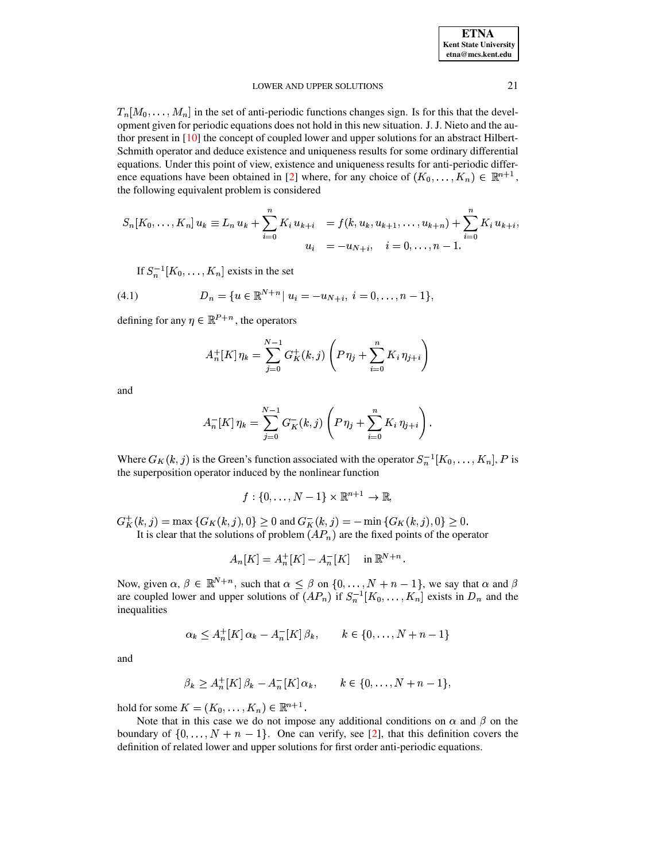$T_n[M_0,\ldots,M_n]$  in the set of anti-periodic functions changes sign. Is for this that the development given for periodic equations does not hold in this new situation. J. J. Nieto and the author present in [10] the concept of coupled lower and upper solutions for an abstract Hilbert-Schmith operator and deduce existence and uniqueness results for some ordinary differential equations. Under this point of view, existence and uniqueness results for anti-periodic difference equations have been obtained in [2] where, for any choice of  $(K_0, \ldots, K_n) \in \mathbb{R}^{n+1}$ , the following equivalent problem is considered

$$
S_n[K_0, \ldots, K_n] u_k \equiv L_n u_k + \sum_{i=0}^n K_i u_{k+i} = f(k, u_k, u_{k+1}, \ldots, u_{k+n}) + \sum_{i=0}^n K_i u_{k+i},
$$
  

$$
u_i = -u_{N+i}, \quad i = 0, \ldots, n-1.
$$

If  $S_n^{-1}[K_0,\ldots,K_n]$  exists in the set

<span id="page-8-0"></span>(4.1) 
$$
D_n = \{u \in \mathbb{R}^{N+n} | u_i = -u_{N+i}, i = 0, \ldots, n-1\},\
$$

defining for any  $\eta \in \mathbb{R}^{P+n}$ , the operators

$$
A_n^+[K]\,\eta_k = \sum_{j=0}^{N-1} G_K^+(k,j) \left(P\,\eta_j + \sum_{i=0}^n K_i\,\eta_{j+i}\right)
$$

and

$$
A_n^{-}[K]\,\eta_k = \sum_{j=0}^{N-1} G_K^{-}(k,j) \left( P \,\eta_j + \sum_{i=0}^n K_i \,\eta_{j+i} \right).
$$

Where  $G_K(k, j)$  is the Green's function associated with the operator  $S_n^{-1}[K_0, \ldots, K_n]$ , P is the superposition operator induced by the nonlinear function

$$
f: \{0, \ldots, N-1\} \times \mathbb{R}^{n+1} \to \mathbb{R}
$$

 $G_K^+(k,j) = \max \{ G_K(k,j), 0 \} \ge 0$  and  $G_K^-(k,j) = - \min \{ G_K(k,j), 0 \} \ge 0$ . It is clear that the solutions of problem  $AP_n$  are the fixed points of the operator

$$
A_n[K] = A_n^+[K] - A_n^-[K] \quad \text{in } \mathbb{R}^{N+n}
$$

Now, given  $\alpha, \beta \in \mathbb{R}^{N+n}$ , such that  $\alpha \leq \beta$  on  $\{0, ..., N+n-1\}$ , we say that  $\alpha$  and  $\beta$ are coupled lower and upper solutions of  $(AP_n)$  if  $S_n^{-1}[K_0, \ldots, K_n]$  exists in  $D_n$  and the inequalities

$$
\alpha_k \le A_n^+[K] \alpha_k - A_n^-[K] \beta_k, \qquad k \in \{0, \ldots, N+n-1\}
$$

and

$$
\beta_k \ge A_n^+[K]\beta_k - A_n^-[K]\alpha_k, \qquad k \in \{0, \ldots, N+n-1\},\
$$

hold for some  $K = (K_0, \ldots, K_n) \in \mathbb{R}^{n+1}$ .

Note that in this case we do not impose any additional conditions on  $\alpha$  and  $\beta$  on the boundary of  $\{0, ..., N + n - 1\}$ . One can verify, see [2], that this definition covers the definition of related lower and upper solutions for first order anti-periodic equations.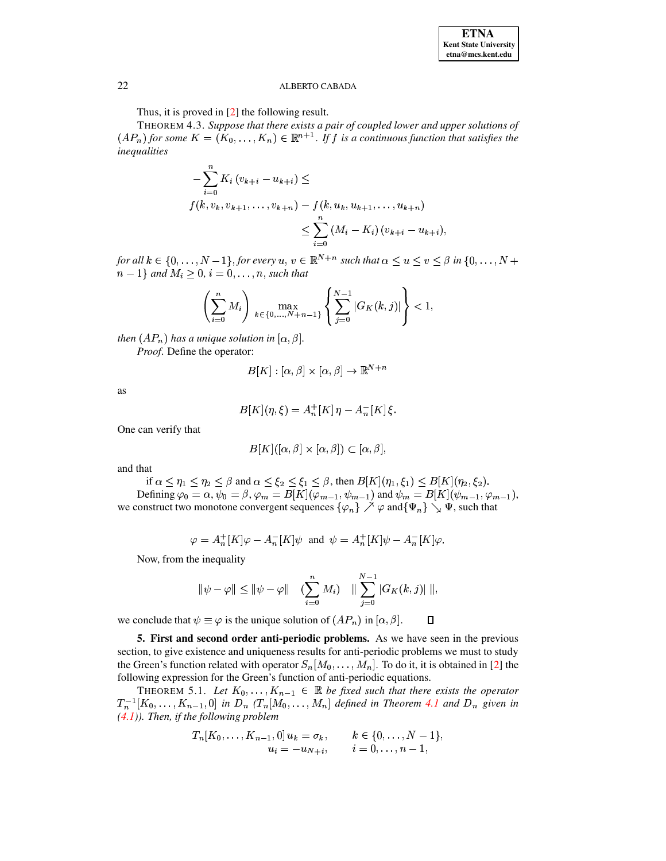Thus, it is proved in  $[2]$  the following result.

<span id="page-9-0"></span>THEOREM 4.3. Suppose that there exists a pair of coupled lower and upper solutions of  $(AP_n)$  for some  $K = (K_0, \ldots, K_n) \in \mathbb{R}^{n+1}$ . If f is a continuous function that satisfies the inequalities

$$
-\sum_{i=0}^{n} K_i (v_{k+i} - u_{k+i}) \le
$$
  

$$
f(k, v_k, v_{k+1}, \dots, v_{k+n}) - f(k, u_k, u_{k+1}, \dots, u_{k+n})
$$
  

$$
\leq \sum_{i=0}^{n} (M_i - K_i) (v_{k+i} - u_{k+i}),
$$

for all  $k \in \{0, ..., N-1\}$ , for every  $u, v \in \mathbb{R}^{N+n}$  such that  $\alpha \le u \le v \le \beta$  in  $\{0, ..., N+1\}$  $n-1$  and  $M_i \geq 0$ ,  $i = 0, \ldots, n$ , such that

$$
\left(\sum_{i=0}^n M_i\right) \max_{k \in \{0, \ldots, N+n-1\}} \left\{\sum_{j=0}^{N-1} |G_K(k,j)|\right\} < 1,
$$

then  $(AP_n)$  has a unique solution in  $[\alpha, \beta]$ .

Proof. Define the operator:

$$
B[K] : [\alpha, \beta] \times [\alpha, \beta] \to \mathbb{R}^{N+n}
$$

as

$$
B[K](\eta, \xi) = A_n^+[K]\eta - A_n^-[K]\xi.
$$

One can verify that

$$
B[K]([\alpha, \beta] \times [\alpha, \beta]) \subset [\alpha, \beta],
$$

and that

if 
$$
\alpha \leq \eta_1 \leq \eta_2 \leq \beta
$$
 and  $\alpha \leq \xi_2 \leq \xi_1 \leq \beta$ , then  $B[K](\eta_1, \xi_1) \leq B[K](\eta_2, \xi_2)$ .  
Defining  $\varphi_0 = \alpha$ ,  $\psi_0 = \beta$ ,  $\varphi_m = B[K](\varphi_{m-1}, \psi_{m-1})$  and  $\psi_m = B[K](\psi_{m-1}, \varphi_{m-1})$ ,  
we construct two monotone convergent sequences  $\{\varphi_n\} \nearrow \varphi$  and  $\{\Psi_n\} \searrow \Psi$ , such that

$$
\varphi = A_n^+[K]\varphi - A_n^-[K]\psi \text{ and } \psi = A_n^+[K]\psi - A_n^-[K]\varphi
$$

Now, from the inequality

$$
\|\psi - \varphi\| \le \|\psi - \varphi\| \quad (\sum_{i=0}^n M_i) \quad \|\sum_{j=0}^{N-1} |G_K(k,j)| \, \|,
$$

we conclude that  $\psi \equiv \varphi$  is the unique solution of  $(AP_n)$  in  $[\alpha, \beta]$ .  $\Box$ 

5. First and second order anti-periodic problems. As we have seen in the previous section, to give existence and uniqueness results for anti-periodic problems we must to study the Green's function related with operator  $S_n[M_0, \ldots, M_n]$ . To do it, it is obtained in [2] the following expression for the Green's function of anti-periodic equations.

<span id="page-9-1"></span>THEOREM 5.1. Let  $K_0, \ldots, K_{n-1} \in \mathbb{R}$  be fixed such that there exists the operator  $T_n^{-1}[K_0,\ldots,K_{n-1},0]$  in  $D_n$   $(T_n[M_0,\ldots,M_n]$  defined in Theorem 4.1 and  $D_n$  given in  $(4.1)$ ). Then, if the following problem

$$
T_n[K_0, \ldots, K_{n-1}, 0] u_k = \sigma_k, \qquad k \in \{0, \ldots, N-1\},
$$
  

$$
u_i = -u_{N+i}, \qquad i = 0, \ldots, n-1,
$$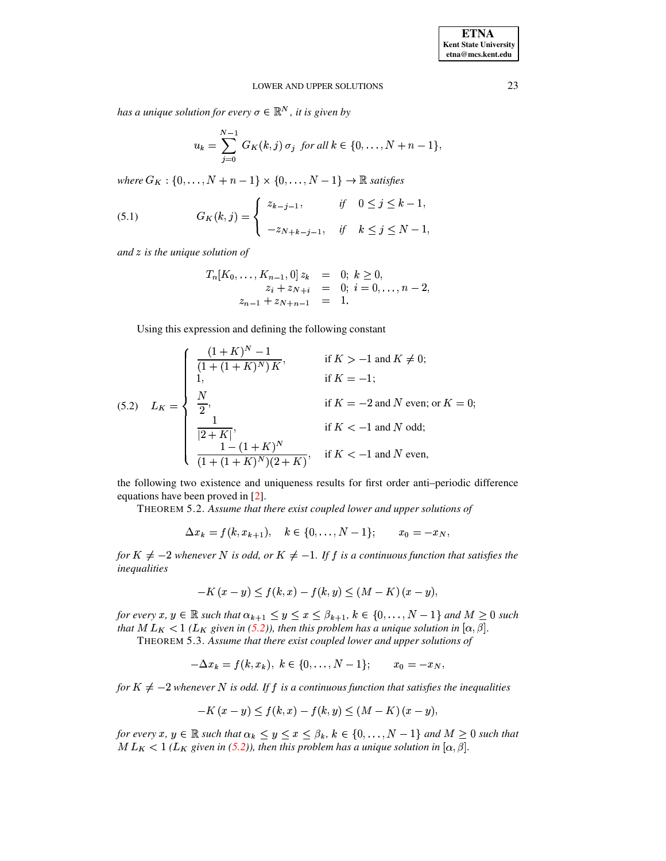has a unique solution for every  $\sigma \in \mathbb{R}^N$ , it is given by

$$
u_k = \sum_{j=0}^{N-1} G_K(k,j) \sigma_j \text{ for all } k \in \{0,\ldots,N+n-1\},
$$

where  $G_K$ : {0, ...,  $N + n - 1$ }  $\times$  {0, ...,  $N - 1$ }  $\rightarrow \mathbb{R}$  satisfies

<span id="page-10-1"></span>(5.1) 
$$
G_K(k, j) = \begin{cases} z_{k-j-1}, & \text{if } 0 \le j \le k-1, \\ -z_{N+k-j-1}, & \text{if } k \le j \le N-1 \end{cases}
$$

and  $z$  is the unique solution of

$$
T_n[K_0, \ldots, K_{n-1}, 0] z_k = 0; k \ge 0,
$$
  
\n
$$
z_i + z_{N+i} = 0; i = 0, \ldots, n-2,
$$
  
\n
$$
z_{n-1} + z_{N+n-1} = 1.
$$

Using this expression and defining the following constant

<span id="page-10-0"></span>(5.2) 
$$
L_K = \begin{cases} \frac{(1+K)^N - 1}{(1 + (1+K)^N)K}, & \text{if } K > -1 \text{ and } K \neq 0; \\ 1, & \text{if } K = -1; \\ \frac{N}{2}, & \text{if } K = -2 \text{ and } N \text{ even; or } K = 0; \\ \frac{1}{|2+K|}, & \text{if } K < -1 \text{ and } N \text{ odd}; \\ \frac{1 - (1+K)^N}{(1 + (1+K)^N)(2+K)}, & \text{if } K < -1 \text{ and } N \text{ even}, \end{cases}
$$

the following two existence and uniqueness results for first order anti-periodic difference equations have been proved in [2].

THEOREM 5.2. Assume that there exist coupled lower and upper solutions of

$$
\Delta x_k = f(k, x_{k+1}), \quad k \in \{0, \ldots, N-1\}; \qquad x_0 = -x_N,
$$

for  $K \neq -2$  whenever N is odd, or  $K \neq -1$ . If f is a continuous function that satisfies the inequalities

$$
-K(x - y) \le f(k, x) - f(k, y) \le (M - K)(x - y),
$$

for every x,  $y \in \mathbb{R}$  such that  $\alpha_{k+1} \leq y \leq x \leq \beta_{k+1}$ ,  $k \in \{0, ..., N-1\}$  and  $M \geq 0$  such that M  $L_K$  < 1 ( $L_K$  given in (5.2)), then this problem has a unique solution in [ $\alpha, \beta$ ].

THEOREM 5.3. Assume that there exist coupled lower and upper solutions of

$$
-\Delta x_k = f(k, x_k), \ k \in \{0, \ldots, N-1\}; \qquad x_0 = -x_N,
$$

for  $K \neq -2$  whenever N is odd. If f is a continuous function that satisfies the inequalities

$$
-K(x - y) \le f(k, x) - f(k, y) \le (M - K)(x - y),
$$

for every x,  $y \in \mathbb{R}$  such that  $\alpha_k \leq y \leq x \leq \beta_k$ ,  $k \in \{0, ..., N-1\}$  and  $M \geq 0$  such that  $ML_K$  < 1 ( $L_K$  given in (5.2)), then this problem has a unique solution in [ $\alpha$ ,  $\beta$ ].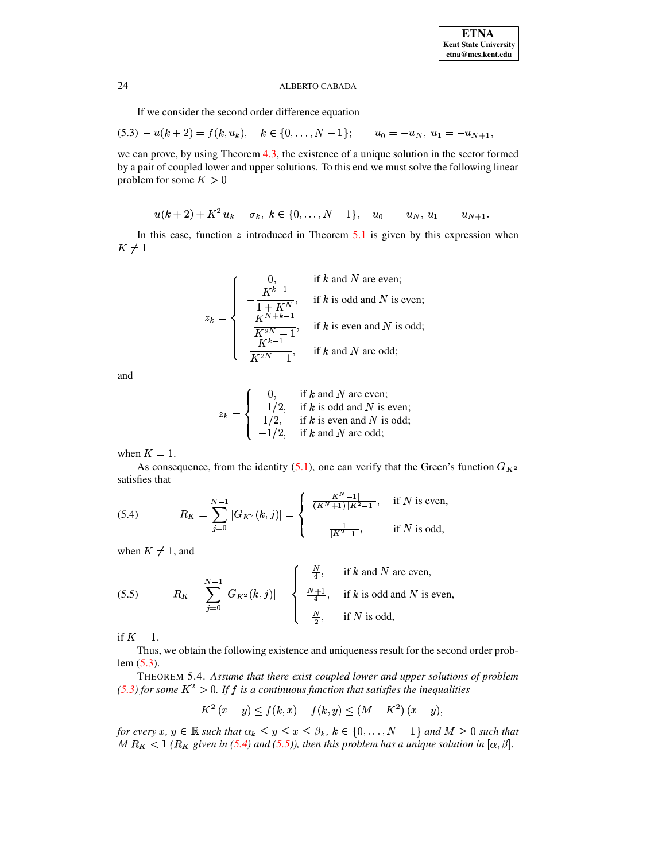If we consider the second order difference equation

<span id="page-11-0"></span>
$$
(5.3) - u(k+2) = f(k, u_k), \quad k \in \{0, \ldots, N-1\}; \qquad u_0 = -u_N, \ u_1 = -u_{N+1},
$$

we can prove, by using Theorem [4.3,](#page-9-0) the existence of a unique solution in the sector formed by a pair of coupled lower and upper solutions. To this end we must solve the following linear problem for some  $K > 0$ 

$$
-u(k+2)+K^2\,u_k=\sigma_k,\;k\in\{0,\ldots,N-1\},\quad u_0=-u_N,\,u_1=-u_{N+1}.
$$

In this case, function  $z$  introduced in Theorem [5.1](#page-9-1) is given by this expression when  $K\neq 1$ 

$$
z_k = \begin{cases} 0, & \text{if } k \text{ and } N \text{ are even;}\\ -\frac{K^{k-1}}{1 + K^N}, & \text{if } k \text{ is odd and } N \text{ is even;}\\ -\frac{K^{N+k-1}}{K^{2N}-1}, & \text{if } k \text{ is even and } N \text{ is odd;}\\ \frac{K^{k-1}}{K^{2N}-1}, & \text{if } k \text{ and } N \text{ are odd;} \end{cases}
$$

and

$$
z_k = \begin{cases} 0, & \text{if } k \text{ and } N \text{ are even;}\\ -1/2, & \text{if } k \text{ is odd and } N \text{ is even;}\\ 1/2, & \text{if } k \text{ is even and } N \text{ is odd;}\\ -1/2, & \text{if } k \text{ and } N \text{ are odd;} \end{cases}
$$

when  $K=1$ .

As consequence, from the identity [\(5.1\)](#page-10-1), one can verify that the Green's function  $G_{K^2}$ satisfies that

<span id="page-11-1"></span>(5.4) 
$$
R_K = \sum_{j=0}^{N-1} |G_{K^2}(k,j)| = \begin{cases} \frac{|K^N - 1|}{(K^N + 1)|K^2 - 1|}, & \text{if } N \text{ is even,} \\ \frac{1}{|K^2 - 1|}, & \text{if } N \text{ is odd,} \end{cases}
$$

when  $K \neq 1$ , and

<span id="page-11-2"></span>(5.5) 
$$
R_K = \sum_{j=0}^{N-1} |G_{K^2}(k,j)| = \begin{cases} \frac{N}{4}, & \text{if } k \text{ and } N \text{ are even,} \\ \frac{N+1}{4}, & \text{if } k \text{ is odd and } N \text{ is even,} \\ \frac{N}{2}, & \text{if } N \text{ is odd,} \end{cases}
$$

if  $K=1$ .

Thus, we obtain the following existence and uniqueness result for the second order problem [\(5.3\)](#page-11-0).

THEOREM 5.4. *Assume that there exist coupled lower and upper solutions of problem [\(5.3\)](#page-11-0) for some*  $K^2 > 0$ *. If f is a continuous function that satisfies the inequalities* 

$$
-K^{2}(x-y)\leq f(k,x)-f(k,y)\leq (M-K^{2}) (x-y),
$$

*for every x, y*  $\in \mathbb{R}$  *such that*  $\alpha_k \leq y \leq x \leq \beta_k$ ,  $k \in \{0, \ldots, N-1\}$  and  $M \geq 0$  such that  $M R_K < 1$  ( $R_K$  given in [\(5.4\)](#page-11-1) and [\(5.5\)](#page-11-2)), then this problem has a unique solution in  $[\alpha, \beta]$ .  $y \ x, y \in \mathbb{R}$  such that  $\alpha$ ,<br>  $< 1$  ( $R_K$  given in (5.4)